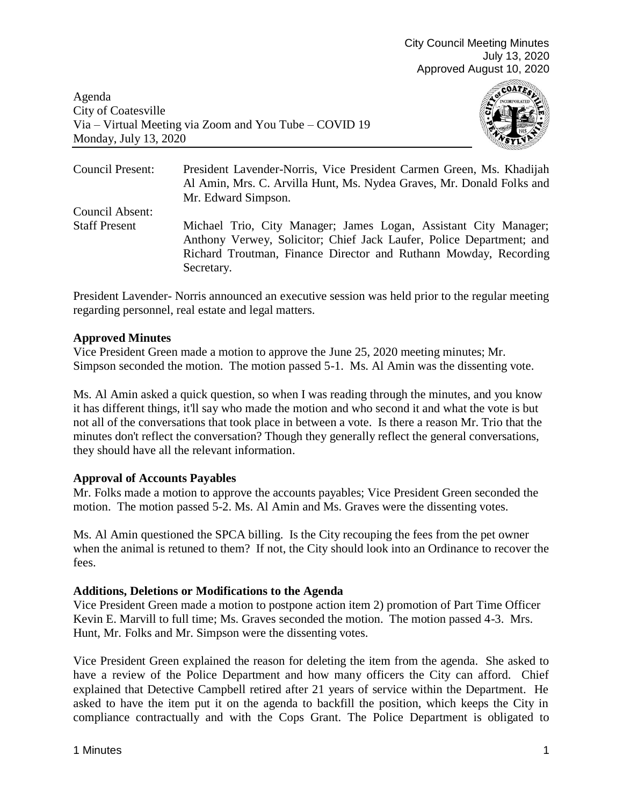Agenda City of Coatesville Via – Virtual Meeting via Zoom and You Tube – COVID 19 Monday, July 13, 2020



Council Present: President Lavender-Norris, Vice President Carmen Green, Ms. Khadijah Al Amin, Mrs. C. Arvilla Hunt, Ms. Nydea Graves, Mr. Donald Folks and Mr. Edward Simpson. Council Absent: Staff Present Michael Trio, City Manager; James Logan, Assistant City Manager; Anthony Verwey, Solicitor; Chief Jack Laufer, Police Department; and Richard Troutman, Finance Director and Ruthann Mowday, Recording Secretary.

President Lavender- Norris announced an executive session was held prior to the regular meeting regarding personnel, real estate and legal matters.

# **Approved Minutes**

Vice President Green made a motion to approve the June 25, 2020 meeting minutes; Mr. Simpson seconded the motion. The motion passed 5-1. Ms. Al Amin was the dissenting vote.

Ms. Al Amin asked a quick question, so when I was reading through the minutes, and you know it has different things, it'll say who made the motion and who second it and what the vote is but not all of the conversations that took place in between a vote. Is there a reason Mr. Trio that the minutes don't reflect the conversation? Though they generally reflect the general conversations, they should have all the relevant information.

# **Approval of Accounts Payables**

Mr. Folks made a motion to approve the accounts payables; Vice President Green seconded the motion. The motion passed 5-2. Ms. Al Amin and Ms. Graves were the dissenting votes.

Ms. Al Amin questioned the SPCA billing. Is the City recouping the fees from the pet owner when the animal is retuned to them? If not, the City should look into an Ordinance to recover the fees.

# **Additions, Deletions or Modifications to the Agenda**

Vice President Green made a motion to postpone action item 2) promotion of Part Time Officer Kevin E. Marvill to full time; Ms. Graves seconded the motion. The motion passed 4-3. Mrs. Hunt, Mr. Folks and Mr. Simpson were the dissenting votes.

Vice President Green explained the reason for deleting the item from the agenda. She asked to have a review of the Police Department and how many officers the City can afford. Chief explained that Detective Campbell retired after 21 years of service within the Department. He asked to have the item put it on the agenda to backfill the position, which keeps the City in compliance contractually and with the Cops Grant. The Police Department is obligated to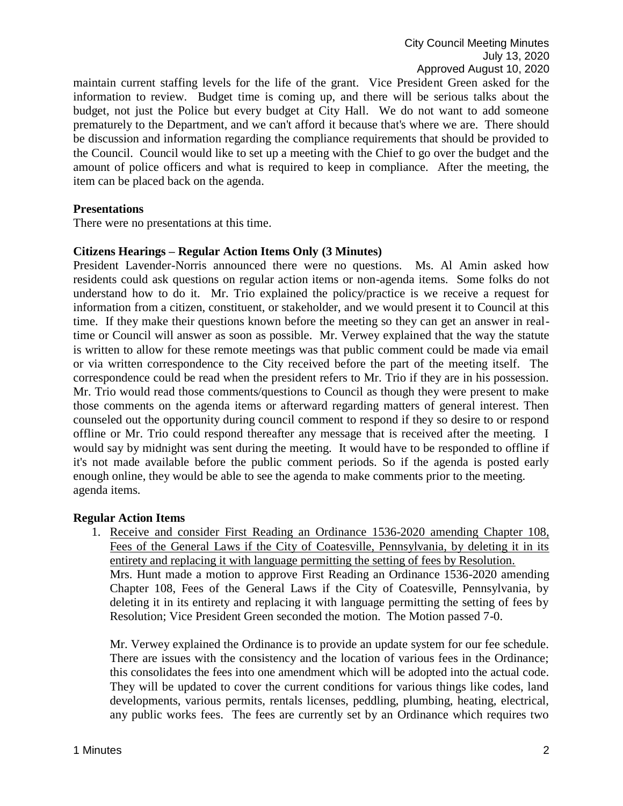maintain current staffing levels for the life of the grant. Vice President Green asked for the information to review. Budget time is coming up, and there will be serious talks about the budget, not just the Police but every budget at City Hall. We do not want to add someone prematurely to the Department, and we can't afford it because that's where we are. There should be discussion and information regarding the compliance requirements that should be provided to the Council. Council would like to set up a meeting with the Chief to go over the budget and the amount of police officers and what is required to keep in compliance. After the meeting, the item can be placed back on the agenda.

### **Presentations**

There were no presentations at this time.

### **Citizens Hearings – Regular Action Items Only (3 Minutes)**

President Lavender-Norris announced there were no questions. Ms. Al Amin asked how residents could ask questions on regular action items or non-agenda items. Some folks do not understand how to do it. Mr. Trio explained the policy/practice is we receive a request for information from a citizen, constituent, or stakeholder, and we would present it to Council at this time. If they make their questions known before the meeting so they can get an answer in realtime or Council will answer as soon as possible. Mr. Verwey explained that the way the statute is written to allow for these remote meetings was that public comment could be made via email or via written correspondence to the City received before the part of the meeting itself. The correspondence could be read when the president refers to Mr. Trio if they are in his possession. Mr. Trio would read those comments/questions to Council as though they were present to make those comments on the agenda items or afterward regarding matters of general interest. Then counseled out the opportunity during council comment to respond if they so desire to or respond offline or Mr. Trio could respond thereafter any message that is received after the meeting. I would say by midnight was sent during the meeting. It would have to be responded to offline if it's not made available before the public comment periods. So if the agenda is posted early enough online, they would be able to see the agenda to make comments prior to the meeting. agenda items.

### **Regular Action Items**

1. Receive and consider First Reading an Ordinance 1536-2020 amending Chapter 108, Fees of the General Laws if the City of Coatesville, Pennsylvania, by deleting it in its entirety and replacing it with language permitting the setting of fees by Resolution. Mrs. Hunt made a motion to approve First Reading an Ordinance 1536-2020 amending Chapter 108, Fees of the General Laws if the City of Coatesville, Pennsylvania, by deleting it in its entirety and replacing it with language permitting the setting of fees by Resolution; Vice President Green seconded the motion. The Motion passed 7-0.

Mr. Verwey explained the Ordinance is to provide an update system for our fee schedule. There are issues with the consistency and the location of various fees in the Ordinance; this consolidates the fees into one amendment which will be adopted into the actual code. They will be updated to cover the current conditions for various things like codes, land developments, various permits, rentals licenses, peddling, plumbing, heating, electrical, any public works fees. The fees are currently set by an Ordinance which requires two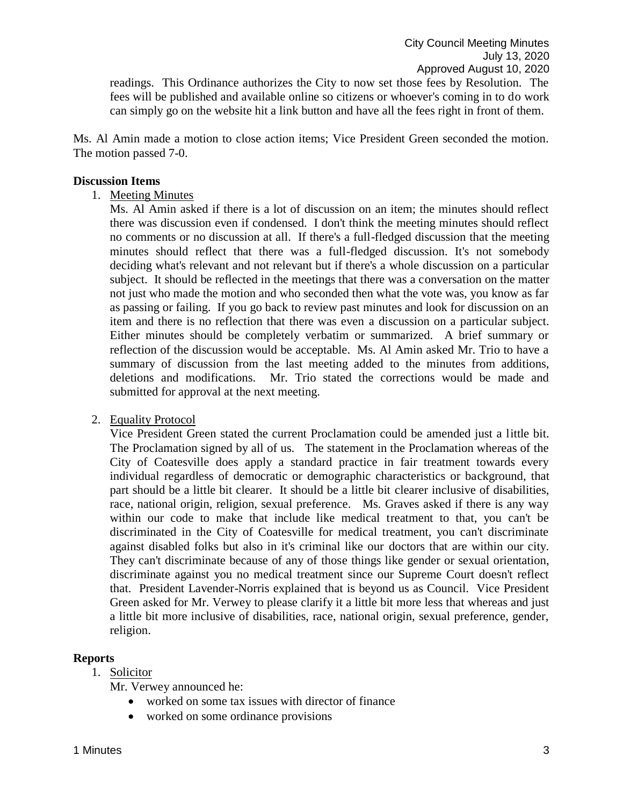readings. This Ordinance authorizes the City to now set those fees by Resolution. The fees will be published and available online so citizens or whoever's coming in to do work can simply go on the website hit a link button and have all the fees right in front of them.

Ms. Al Amin made a motion to close action items; Vice President Green seconded the motion. The motion passed 7-0.

#### **Discussion Items**

1. Meeting Minutes

Ms. Al Amin asked if there is a lot of discussion on an item; the minutes should reflect there was discussion even if condensed. I don't think the meeting minutes should reflect no comments or no discussion at all. If there's a full-fledged discussion that the meeting minutes should reflect that there was a full-fledged discussion. It's not somebody deciding what's relevant and not relevant but if there's a whole discussion on a particular subject. It should be reflected in the meetings that there was a conversation on the matter not just who made the motion and who seconded then what the vote was, you know as far as passing or failing. If you go back to review past minutes and look for discussion on an item and there is no reflection that there was even a discussion on a particular subject. Either minutes should be completely verbatim or summarized. A brief summary or reflection of the discussion would be acceptable. Ms. Al Amin asked Mr. Trio to have a summary of discussion from the last meeting added to the minutes from additions, deletions and modifications. Mr. Trio stated the corrections would be made and submitted for approval at the next meeting.

2. Equality Protocol

Vice President Green stated the current Proclamation could be amended just a little bit. The Proclamation signed by all of us. The statement in the Proclamation whereas of the City of Coatesville does apply a standard practice in fair treatment towards every individual regardless of democratic or demographic characteristics or background, that part should be a little bit clearer. It should be a little bit clearer inclusive of disabilities, race, national origin, religion, sexual preference. Ms. Graves asked if there is any way within our code to make that include like medical treatment to that, you can't be discriminated in the City of Coatesville for medical treatment, you can't discriminate against disabled folks but also in it's criminal like our doctors that are within our city. They can't discriminate because of any of those things like gender or sexual orientation, discriminate against you no medical treatment since our Supreme Court doesn't reflect that. President Lavender-Norris explained that is beyond us as Council. Vice President Green asked for Mr. Verwey to please clarify it a little bit more less that whereas and just a little bit more inclusive of disabilities, race, national origin, sexual preference, gender, religion.

### **Reports**

1. Solicitor

Mr. Verwey announced he:

- worked on some tax issues with director of finance
- worked on some ordinance provisions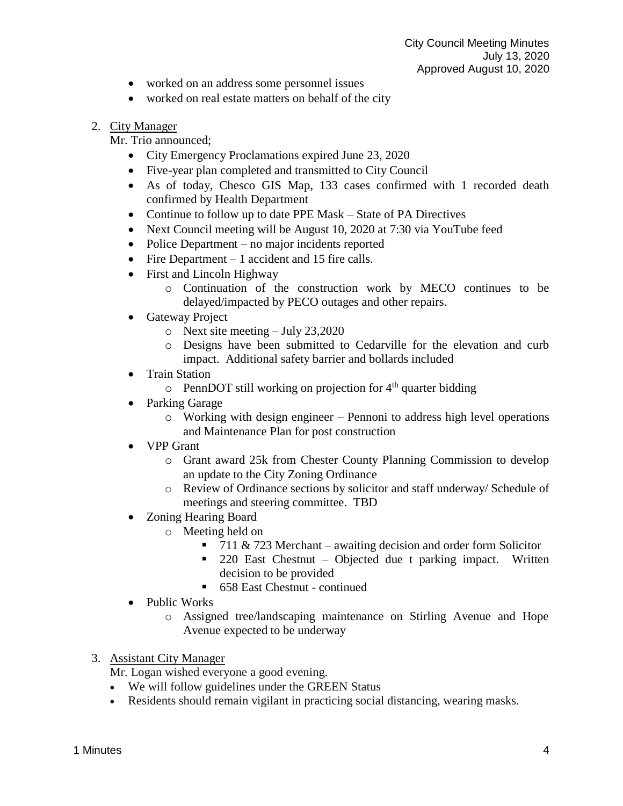- worked on an address some personnel issues
- worked on real estate matters on behalf of the city

# 2. City Manager

Mr. Trio announced;

- City Emergency Proclamations expired June 23, 2020
- Five-year plan completed and transmitted to City Council
- As of today, Chesco GIS Map, 133 cases confirmed with 1 recorded death confirmed by Health Department
- Continue to follow up to date PPE Mask State of PA Directives
- Next Council meeting will be August 10, 2020 at 7:30 via YouTube feed
- Police Department no major incidents reported
- Fire Department 1 accident and 15 fire calls.
- First and Lincoln Highway
	- o Continuation of the construction work by MECO continues to be delayed/impacted by PECO outages and other repairs.
- Gateway Project
	- o Next site meeting July 23,2020
	- o Designs have been submitted to Cedarville for the elevation and curb impact. Additional safety barrier and bollards included
- Train Station
	- $\circ$  PennDOT still working on projection for 4<sup>th</sup> quarter bidding
- Parking Garage
	- $\circ$  Working with design engineer Pennoni to address high level operations and Maintenance Plan for post construction
- VPP Grant
	- o Grant award 25k from Chester County Planning Commission to develop an update to the City Zoning Ordinance
	- o Review of Ordinance sections by solicitor and staff underway/ Schedule of meetings and steering committee. TBD
- Zoning Hearing Board
	- o Meeting held on
		- $\blacksquare$  711 & 723 Merchant awaiting decision and order form Solicitor
		- 220 East Chestnut Objected due t parking impact. Written decision to be provided
		- 658 East Chestnut continued
- Public Works
	- o Assigned tree/landscaping maintenance on Stirling Avenue and Hope Avenue expected to be underway
- 3. Assistant City Manager

Mr. Logan wished everyone a good evening.

- We will follow guidelines under the GREEN Status
- Residents should remain vigilant in practicing social distancing, wearing masks.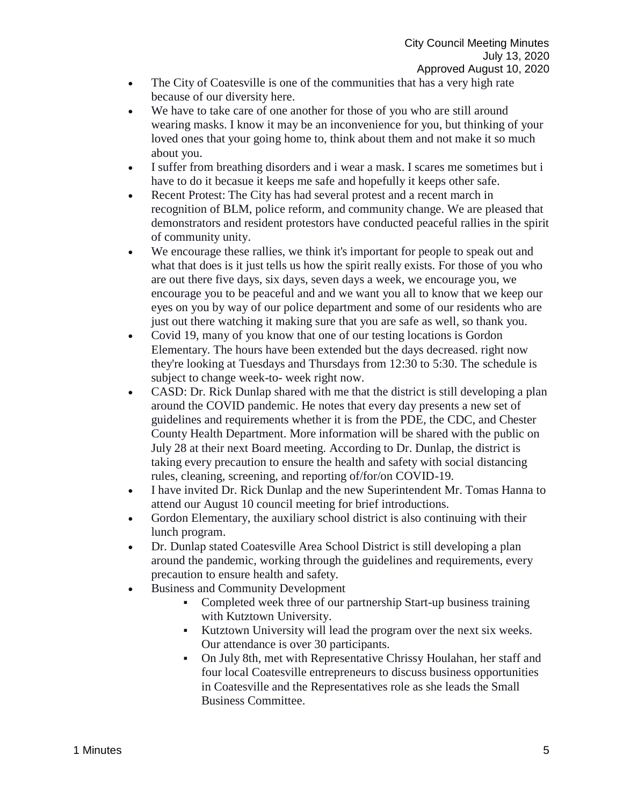- The City of Coatesville is one of the communities that has a very high rate because of our diversity here.
- We have to take care of one another for those of you who are still around wearing masks. I know it may be an inconvenience for you, but thinking of your loved ones that your going home to, think about them and not make it so much about you.
- I suffer from breathing disorders and i wear a mask. I scares me sometimes but i have to do it becasue it keeps me safe and hopefully it keeps other safe.
- Recent Protest: The City has had several protest and a recent march in recognition of BLM, police reform, and community change. We are pleased that demonstrators and resident protestors have conducted peaceful rallies in the spirit of community unity.
- We encourage these rallies, we think it's important for people to speak out and what that does is it just tells us how the spirit really exists. For those of you who are out there five days, six days, seven days a week, we encourage you, we encourage you to be peaceful and and we want you all to know that we keep our eyes on you by way of our police department and some of our residents who are just out there watching it making sure that you are safe as well, so thank you.
- Covid 19, many of you know that one of our testing locations is Gordon Elementary. The hours have been extended but the days decreased. right now they're looking at Tuesdays and Thursdays from 12:30 to 5:30. The schedule is subject to change week-to- week right now.
- CASD: Dr. Rick Dunlap shared with me that the district is still developing a plan around the COVID pandemic. He notes that every day presents a new set of guidelines and requirements whether it is from the PDE, the CDC, and Chester County Health Department. More information will be shared with the public on July 28 at their next Board meeting. According to Dr. Dunlap, the district is taking every precaution to ensure the health and safety with social distancing rules, cleaning, screening, and reporting of/for/on COVID-19.
- I have invited Dr. Rick Dunlap and the new Superintendent Mr. Tomas Hanna to attend our August 10 council meeting for brief introductions.
- Gordon Elementary, the auxiliary school district is also continuing with their lunch program.
- Dr. Dunlap stated Coatesville Area School District is still developing a plan around the pandemic, working through the guidelines and requirements, every precaution to ensure health and safety.
- Business and Community Development
	- Completed week three of our partnership Start-up business training with Kutztown University.
	- Kutztown University will lead the program over the next six weeks. Our attendance is over 30 participants.
	- On July 8th, met with Representative Chrissy Houlahan, her staff and four local Coatesville entrepreneurs to discuss business opportunities in Coatesville and the Representatives role as she leads the Small Business Committee.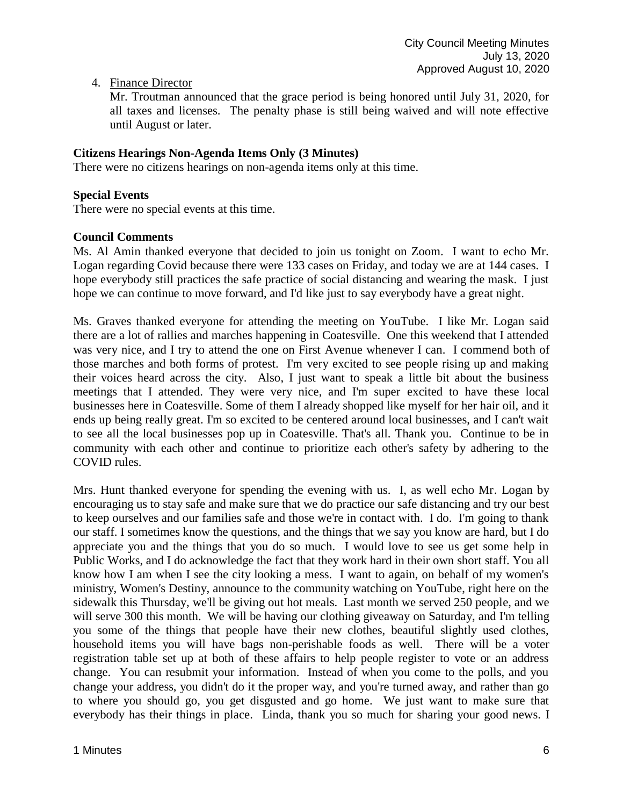4. Finance Director

Mr. Troutman announced that the grace period is being honored until July 31, 2020, for all taxes and licenses. The penalty phase is still being waived and will note effective until August or later.

# **Citizens Hearings Non-Agenda Items Only (3 Minutes)**

There were no citizens hearings on non-agenda items only at this time.

### **Special Events**

There were no special events at this time.

### **Council Comments**

Ms. Al Amin thanked everyone that decided to join us tonight on Zoom. I want to echo Mr. Logan regarding Covid because there were 133 cases on Friday, and today we are at 144 cases. I hope everybody still practices the safe practice of social distancing and wearing the mask. I just hope we can continue to move forward, and I'd like just to say everybody have a great night.

Ms. Graves thanked everyone for attending the meeting on YouTube. I like Mr. Logan said there are a lot of rallies and marches happening in Coatesville. One this weekend that I attended was very nice, and I try to attend the one on First Avenue whenever I can. I commend both of those marches and both forms of protest. I'm very excited to see people rising up and making their voices heard across the city. Also, I just want to speak a little bit about the business meetings that I attended. They were very nice, and I'm super excited to have these local businesses here in Coatesville. Some of them I already shopped like myself for her hair oil, and it ends up being really great. I'm so excited to be centered around local businesses, and I can't wait to see all the local businesses pop up in Coatesville. That's all. Thank you. Continue to be in community with each other and continue to prioritize each other's safety by adhering to the COVID rules.

Mrs. Hunt thanked everyone for spending the evening with us. I, as well echo Mr. Logan by encouraging us to stay safe and make sure that we do practice our safe distancing and try our best to keep ourselves and our families safe and those we're in contact with. I do. I'm going to thank our staff. I sometimes know the questions, and the things that we say you know are hard, but I do appreciate you and the things that you do so much. I would love to see us get some help in Public Works, and I do acknowledge the fact that they work hard in their own short staff. You all know how I am when I see the city looking a mess. I want to again, on behalf of my women's ministry, Women's Destiny, announce to the community watching on YouTube, right here on the sidewalk this Thursday, we'll be giving out hot meals. Last month we served 250 people, and we will serve 300 this month. We will be having our clothing giveaway on Saturday, and I'm telling you some of the things that people have their new clothes, beautiful slightly used clothes, household items you will have bags non-perishable foods as well. There will be a voter registration table set up at both of these affairs to help people register to vote or an address change. You can resubmit your information. Instead of when you come to the polls, and you change your address, you didn't do it the proper way, and you're turned away, and rather than go to where you should go, you get disgusted and go home. We just want to make sure that everybody has their things in place. Linda, thank you so much for sharing your good news. I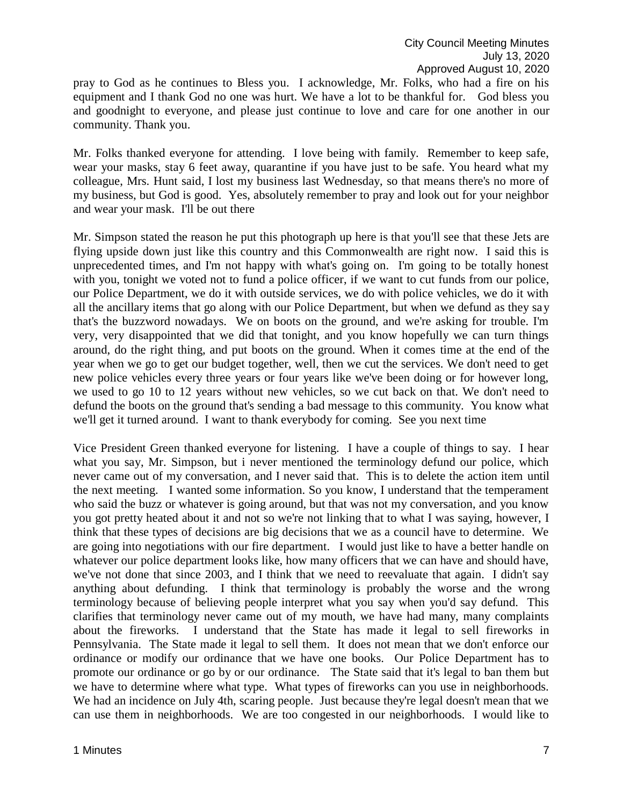pray to God as he continues to Bless you. I acknowledge, Mr. Folks, who had a fire on his equipment and I thank God no one was hurt. We have a lot to be thankful for. God bless you and goodnight to everyone, and please just continue to love and care for one another in our community. Thank you.

Mr. Folks thanked everyone for attending. I love being with family. Remember to keep safe, wear your masks, stay 6 feet away, quarantine if you have just to be safe. You heard what my colleague, Mrs. Hunt said, I lost my business last Wednesday, so that means there's no more of my business, but God is good. Yes, absolutely remember to pray and look out for your neighbor and wear your mask. I'll be out there

Mr. Simpson stated the reason he put this photograph up here is that you'll see that these Jets are flying upside down just like this country and this Commonwealth are right now. I said this is unprecedented times, and I'm not happy with what's going on. I'm going to be totally honest with you, tonight we voted not to fund a police officer, if we want to cut funds from our police, our Police Department, we do it with outside services, we do with police vehicles, we do it with all the ancillary items that go along with our Police Department, but when we defund as they say that's the buzzword nowadays. We on boots on the ground, and we're asking for trouble. I'm very, very disappointed that we did that tonight, and you know hopefully we can turn things around, do the right thing, and put boots on the ground. When it comes time at the end of the year when we go to get our budget together, well, then we cut the services. We don't need to get new police vehicles every three years or four years like we've been doing or for however long, we used to go 10 to 12 years without new vehicles, so we cut back on that. We don't need to defund the boots on the ground that's sending a bad message to this community. You know what we'll get it turned around. I want to thank everybody for coming. See you next time

Vice President Green thanked everyone for listening. I have a couple of things to say. I hear what you say, Mr. Simpson, but i never mentioned the terminology defund our police, which never came out of my conversation, and I never said that. This is to delete the action item until the next meeting. I wanted some information. So you know, I understand that the temperament who said the buzz or whatever is going around, but that was not my conversation, and you know you got pretty heated about it and not so we're not linking that to what I was saying, however, I think that these types of decisions are big decisions that we as a council have to determine. We are going into negotiations with our fire department. I would just like to have a better handle on whatever our police department looks like, how many officers that we can have and should have, we've not done that since 2003, and I think that we need to reevaluate that again. I didn't say anything about defunding. I think that terminology is probably the worse and the wrong terminology because of believing people interpret what you say when you'd say defund. This clarifies that terminology never came out of my mouth, we have had many, many complaints about the fireworks. I understand that the State has made it legal to sell fireworks in Pennsylvania. The State made it legal to sell them. It does not mean that we don't enforce our ordinance or modify our ordinance that we have one books. Our Police Department has to promote our ordinance or go by or our ordinance. The State said that it's legal to ban them but we have to determine where what type. What types of fireworks can you use in neighborhoods. We had an incidence on July 4th, scaring people. Just because they're legal doesn't mean that we can use them in neighborhoods. We are too congested in our neighborhoods. I would like to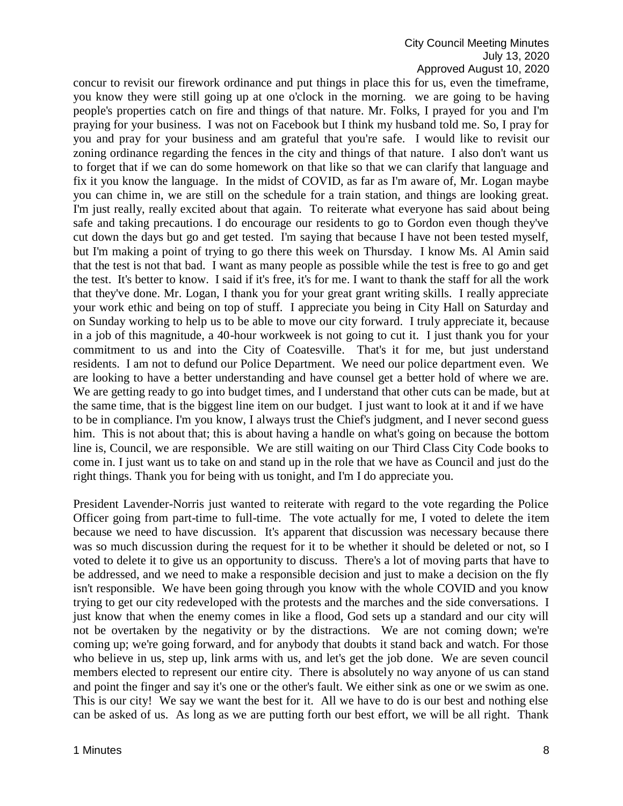#### City Council Meeting Minutes July 13, 2020 Approved August 10, 2020

concur to revisit our firework ordinance and put things in place this for us, even the timeframe, you know they were still going up at one o'clock in the morning. we are going to be having people's properties catch on fire and things of that nature. Mr. Folks, I prayed for you and I'm praying for your business. I was not on Facebook but I think my husband told me. So, I pray for you and pray for your business and am grateful that you're safe. I would like to revisit our zoning ordinance regarding the fences in the city and things of that nature. I also don't want us to forget that if we can do some homework on that like so that we can clarify that language and fix it you know the language. In the midst of COVID, as far as I'm aware of, Mr. Logan maybe you can chime in, we are still on the schedule for a train station, and things are looking great. I'm just really, really excited about that again. To reiterate what everyone has said about being safe and taking precautions. I do encourage our residents to go to Gordon even though they've cut down the days but go and get tested. I'm saying that because I have not been tested myself, but I'm making a point of trying to go there this week on Thursday. I know Ms. Al Amin said that the test is not that bad. I want as many people as possible while the test is free to go and get the test. It's better to know. I said if it's free, it's for me. I want to thank the staff for all the work that they've done. Mr. Logan, I thank you for your great grant writing skills. I really appreciate your work ethic and being on top of stuff. I appreciate you being in City Hall on Saturday and on Sunday working to help us to be able to move our city forward. I truly appreciate it, because in a job of this magnitude, a 40-hour workweek is not going to cut it. I just thank you for your commitment to us and into the City of Coatesville. That's it for me, but just understand residents. I am not to defund our Police Department. We need our police department even. We are looking to have a better understanding and have counsel get a better hold of where we are. We are getting ready to go into budget times, and I understand that other cuts can be made, but at the same time, that is the biggest line item on our budget. I just want to look at it and if we have to be in compliance. I'm you know, I always trust the Chief's judgment, and I never second guess him. This is not about that; this is about having a handle on what's going on because the bottom line is, Council, we are responsible. We are still waiting on our Third Class City Code books to come in. I just want us to take on and stand up in the role that we have as Council and just do the right things. Thank you for being with us tonight, and I'm I do appreciate you.

President Lavender-Norris just wanted to reiterate with regard to the vote regarding the Police Officer going from part-time to full-time. The vote actually for me, I voted to delete the item because we need to have discussion. It's apparent that discussion was necessary because there was so much discussion during the request for it to be whether it should be deleted or not, so I voted to delete it to give us an opportunity to discuss. There's a lot of moving parts that have to be addressed, and we need to make a responsible decision and just to make a decision on the fly isn't responsible. We have been going through you know with the whole COVID and you know trying to get our city redeveloped with the protests and the marches and the side conversations. I just know that when the enemy comes in like a flood, God sets up a standard and our city will not be overtaken by the negativity or by the distractions. We are not coming down; we're coming up; we're going forward, and for anybody that doubts it stand back and watch. For those who believe in us, step up, link arms with us, and let's get the job done. We are seven council members elected to represent our entire city. There is absolutely no way anyone of us can stand and point the finger and say it's one or the other's fault. We either sink as one or we swim as one. This is our city! We say we want the best for it. All we have to do is our best and nothing else can be asked of us. As long as we are putting forth our best effort, we will be all right. Thank